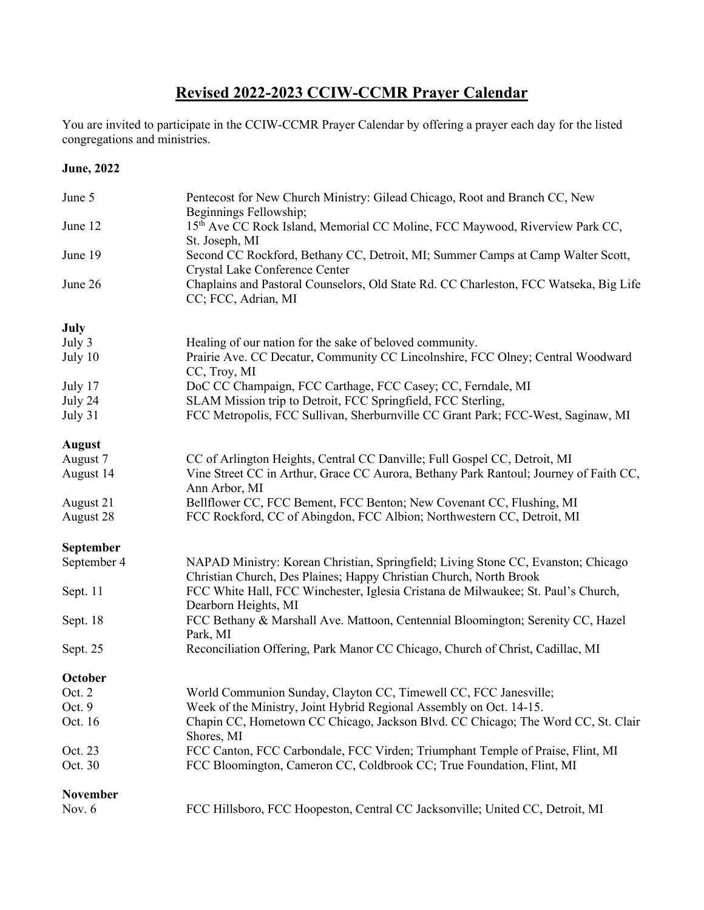## **Revised 2022-2023 CCIW-CCMR Prayer Calendar**

You are invited to participate in the CCIW-CCMR Prayer Calendar by offering a prayer each day for the listed congregations and ministries.

## **June, 2022**

| June 5           | Pentecost for New Church Ministry: Gilead Chicago, Root and Branch CC, New<br>Beginnings Fellowship;                                                    |
|------------------|---------------------------------------------------------------------------------------------------------------------------------------------------------|
| June 12          | 15th Ave CC Rock Island, Memorial CC Moline, FCC Maywood, Riverview Park CC,<br>St. Joseph, MI                                                          |
| June 19          | Second CC Rockford, Bethany CC, Detroit, MI; Summer Camps at Camp Walter Scott,<br>Crystal Lake Conference Center                                       |
| June 26          | Chaplains and Pastoral Counselors, Old State Rd. CC Charleston, FCC Watseka, Big Life<br>CC; FCC, Adrian, MI                                            |
| July             |                                                                                                                                                         |
| July 3           | Healing of our nation for the sake of beloved community.                                                                                                |
| July 10          | Prairie Ave. CC Decatur, Community CC Lincolnshire, FCC Olney; Central Woodward<br>CC, Troy, MI                                                         |
| July 17          | DoC CC Champaign, FCC Carthage, FCC Casey; CC, Ferndale, MI                                                                                             |
| July 24          | SLAM Mission trip to Detroit, FCC Springfield, FCC Sterling,                                                                                            |
| July 31          | FCC Metropolis, FCC Sullivan, Sherburnville CC Grant Park; FCC-West, Saginaw, MI                                                                        |
| <b>August</b>    |                                                                                                                                                         |
| August 7         | CC of Arlington Heights, Central CC Danville; Full Gospel CC, Detroit, MI                                                                               |
| August 14        | Vine Street CC in Arthur, Grace CC Aurora, Bethany Park Rantoul; Journey of Faith CC,<br>Ann Arbor, MI                                                  |
| August 21        | Bellflower CC, FCC Bement, FCC Benton; New Covenant CC, Flushing, MI                                                                                    |
| August 28        | FCC Rockford, CC of Abingdon, FCC Albion; Northwestern CC, Detroit, MI                                                                                  |
| <b>September</b> |                                                                                                                                                         |
| September 4      | NAPAD Ministry: Korean Christian, Springfield; Living Stone CC, Evanston; Chicago<br>Christian Church, Des Plaines; Happy Christian Church, North Brook |
| Sept. 11         | FCC White Hall, FCC Winchester, Iglesia Cristana de Milwaukee; St. Paul's Church,<br>Dearborn Heights, MI                                               |
| Sept. 18         | FCC Bethany & Marshall Ave. Mattoon, Centennial Bloomington; Serenity CC, Hazel<br>Park, MI                                                             |
| Sept. 25         | Reconciliation Offering, Park Manor CC Chicago, Church of Christ, Cadillac, MI                                                                          |
| October          |                                                                                                                                                         |
| Oct. 2           | World Communion Sunday, Clayton CC, Timewell CC, FCC Janesville;                                                                                        |
| Oct. 9           | Week of the Ministry, Joint Hybrid Regional Assembly on Oct. 14-15.                                                                                     |
| Oct. 16          | Chapin CC, Hometown CC Chicago, Jackson Blvd. CC Chicago; The Word CC, St. Clair<br>Shores, MI                                                          |
| Oct. 23          | FCC Canton, FCC Carbondale, FCC Virden; Triumphant Temple of Praise, Flint, MI                                                                          |
| Oct. 30          | FCC Bloomington, Cameron CC, Coldbrook CC; True Foundation, Flint, MI                                                                                   |
| <b>November</b>  |                                                                                                                                                         |
| Nov. $6$         | FCC Hillsboro, FCC Hoopeston, Central CC Jacksonville; United CC, Detroit, MI                                                                           |